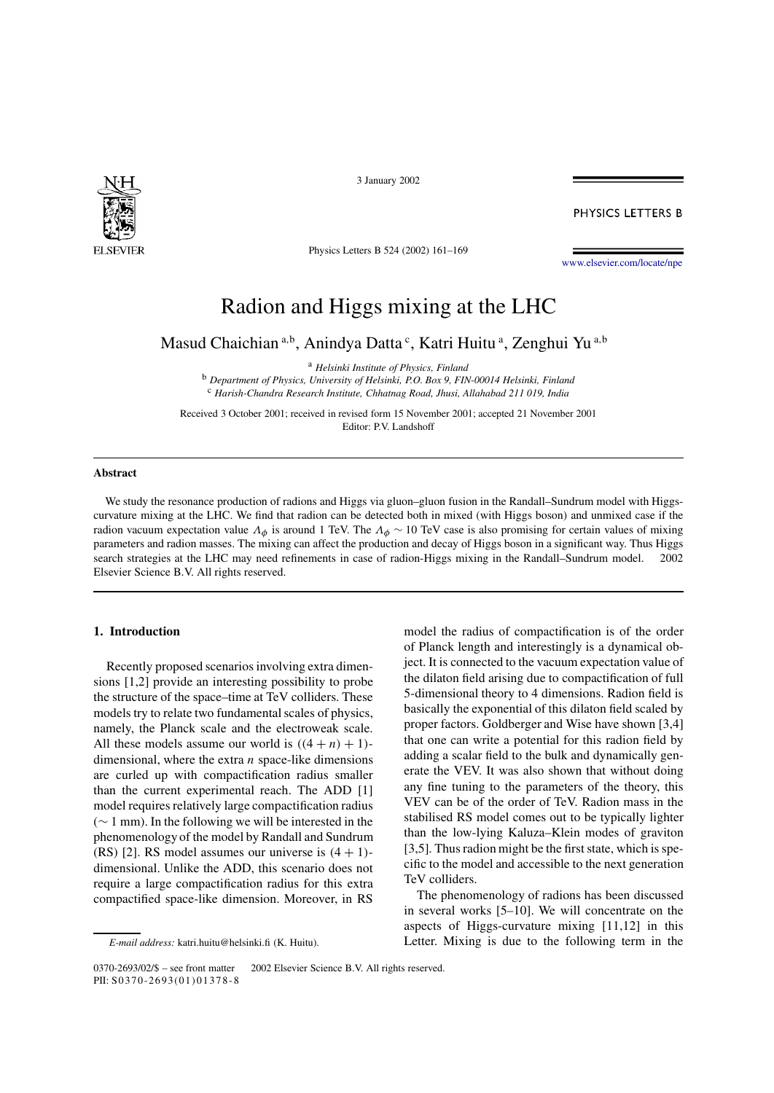

3 January 2002

PHYSICS LETTERS B

Physics Letters B 524 (2002) 161–169

www.elsevier.com/locate/npe

# Radion and Higgs mixing at the LHC

Masud Chaichian<sup>a,b</sup>, Anindya Datta<sup>c</sup>, Katri Huitu<sup>a</sup>, Zenghui Yu<sup>a,b</sup>

<sup>a</sup> *Helsinki Institute of Physics, Finland*

<sup>b</sup> *Department of Physics, University of Helsinki, P.O. Box 9, FIN-00014 Helsinki, Finland* <sup>c</sup> *Harish-Chandra Research Institute, Chhatnag Road, Jhusi, Allahabad 211 019, India*

Received 3 October 2001; received in revised form 15 November 2001; accepted 21 November 2001 Editor: P.V. Landshoff

#### **Abstract**

We study the resonance production of radions and Higgs via gluon–gluon fusion in the Randall–Sundrum model with Higgscurvature mixing at the LHC. We find that radion can be detected both in mixed (with Higgs boson) and unmixed case if the radion vacuum expectation value  $\Lambda_{\phi}$  is around 1 TeV. The  $\Lambda_{\phi} \sim 10$  TeV case is also promising for certain values of mixing parameters and radion masses. The mixing can affect the production and decay of Higgs boson in a significant way. Thus Higgs search strategies at the LHC may need refinements in case of radion-Higgs mixing in the Randall–Sundrum model.  $© 2002$ Elsevier Science B.V. All rights reserved.

## **1. Introduction**

Recently proposed scenarios involving extra dimensions [1,2] provide an interesting possibility to probe the structure of the space–time at TeV colliders. These models try to relate two fundamental scales of physics, namely, the Planck scale and the electroweak scale. All these models assume our world is  $((4 + n) + 1)$ dimensional, where the extra  $n$  space-like dimensions are curled up with compactification radius smaller than the current experimental reach. The ADD [1] model requires relatively large compactification radius (∼ 1 mm). In the following we will be interested in the phenomenology of the model by Randall and Sundrum (RS) [2]. RS model assumes our universe is  $(4 + 1)$ dimensional. Unlike the ADD, this scenario does not require a large compactification radius for this extra compactified space-like dimension. Moreover, in RS

model the radius of compactification is of the order of Planck length and interestingly is a dynamical object. It is connected to the vacuum expectation value of the dilaton field arising due to compactification of full 5-dimensional theory to 4 dimensions. Radion field is basically the exponential of this dilaton field scaled by proper factors. Goldberger and Wise have shown [3,4] that one can write a potential for this radion field by adding a scalar field to the bulk and dynamically generate the VEV. It was also shown that without doing any fine tuning to the parameters of the theory, this VEV can be of the order of TeV. Radion mass in the stabilised RS model comes out to be typically lighter than the low-lying Kaluza–Klein modes of graviton [3,5]. Thus radion might be the first state, which is specific to the model and accessible to the next generation TeV colliders.

The phenomenology of radions has been discussed in several works [5–10]. We will concentrate on the aspects of Higgs-curvature mixing [11,12] in this Letter. Mixing is due to the following term in the

*E-mail address:* katri.huitu@helsinki.fi (K. Huitu).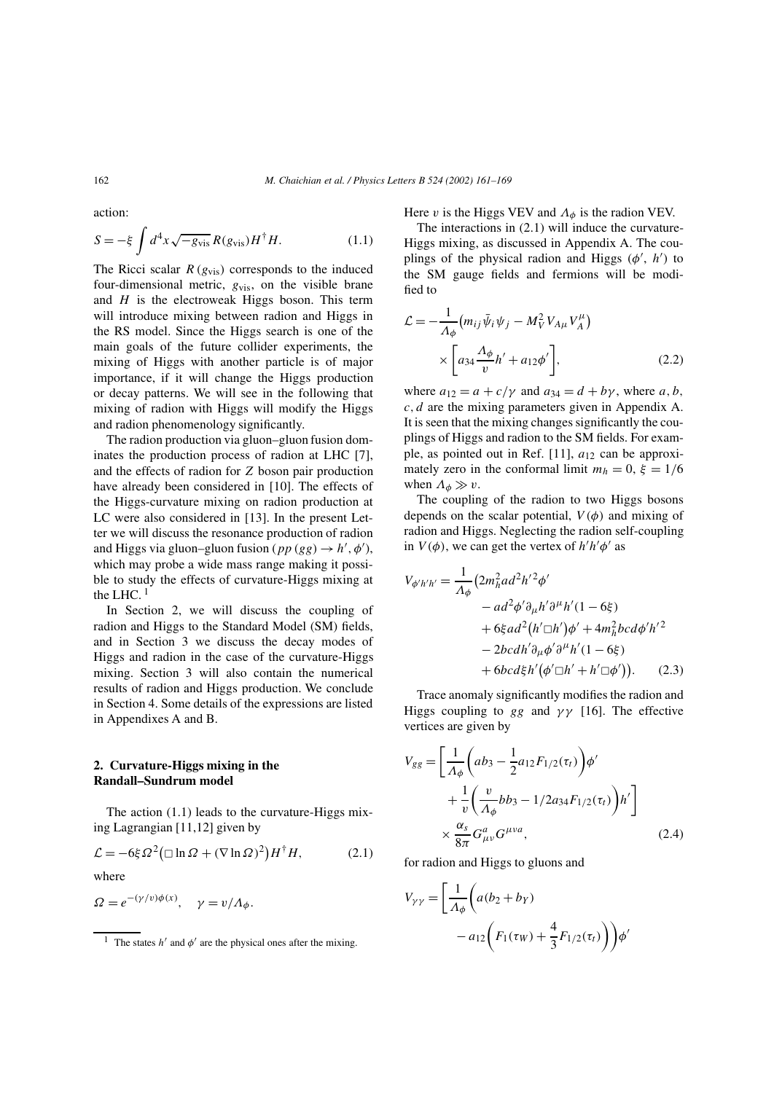action:

$$
S = -\xi \int d^4x \sqrt{-g_{\text{vis}}} R(g_{\text{vis}}) H^{\dagger} H. \tag{1.1}
$$

The Ricci scalar  $R\left(g_{\text{vis}}\right)$  corresponds to the induced four-dimensional metric,  $g_{vis}$ , on the visible brane and  $H$  is the electroweak Higgs boson. This term will introduce mixing between radion and Higgs in the RS model. Since the Higgs search is one of the main goals of the future collider experiments, the mixing of Higgs with another particle is of major importance, if it will change the Higgs production or decay patterns. We will see in the following that mixing of radion with Higgs will modify the Higgs and radion phenomenology significantly.

The radion production via gluon–gluon fusion dominates the production process of radion at LHC [7], and the effects of radion for Z boson pair production have already been considered in [10]. The effects of the Higgs-curvature mixing on radion production at LC were also considered in [13]. In the present Letter we will discuss the resonance production of radion and Higgs via gluon–gluon fusion ( $pp (gg) \rightarrow h', \phi'),$ which may probe a wide mass range making it possible to study the effects of curvature-Higgs mixing at the LHC.  $1$ 

In Section 2, we will discuss the coupling of radion and Higgs to the Standard Model (SM) fields, and in Section 3 we discuss the decay modes of Higgs and radion in the case of the curvature-Higgs mixing. Section 3 will also contain the numerical results of radion and Higgs production. We conclude in Section 4. Some details of the expressions are listed in Appendixes A and B.

## **2. Curvature-Higgs mixing in the Randall–Sundrum model**

The action (1.1) leads to the curvature-Higgs mixing Lagrangian [11,12] given by

$$
\mathcal{L} = -6\xi \Omega^2 \left( \Box \ln \Omega + (\nabla \ln \Omega)^2 \right) H^{\dagger} H, \tag{2.1}
$$

where

$$
\Omega = e^{-(\gamma/v)\phi(x)}, \quad \gamma = v/\Lambda_{\phi}.
$$

Here v is the Higgs VEV and  $\Lambda_{\phi}$  is the radion VEV.

The interactions in (2.1) will induce the curvature-Higgs mixing, as discussed in Appendix A. The couplings of the physical radion and Higgs  $(\phi', h')$  to the SM gauge fields and fermions will be modified to

$$
\mathcal{L} = -\frac{1}{\Lambda_{\phi}} \left( m_{ij} \bar{\psi}_i \psi_j - M_V^2 V_{A\mu} V_A^{\mu} \right) \times \left[ a_{34} \frac{\Lambda_{\phi}}{v} h' + a_{12} \phi' \right],
$$
\n(2.2)

where  $a_{12} = a + c/\gamma$  and  $a_{34} = d + b\gamma$ , where a, b,  $c, d$  are the mixing parameters given in Appendix A. It is seen that the mixing changes significantly the couplings of Higgs and radion to the SM fields. For example, as pointed out in Ref.  $[11]$ ,  $a_{12}$  can be approximately zero in the conformal limit  $m_h = 0$ ,  $\xi = 1/6$ when  $\Lambda_{\phi} \gg v$ .

The coupling of the radion to two Higgs bosons depends on the scalar potential,  $V(\phi)$  and mixing of radion and Higgs. Neglecting the radion self-coupling in  $V(\phi)$ , we can get the vertex of  $h'h'\phi'$  as

$$
V_{\phi'h'h'} = \frac{1}{\Lambda_{\phi}} (2m_h^2 ad^2 h'^2 \phi' - ad^2 \phi' \partial_{\mu} h' \partial^{\mu} h' (1 - 6\xi) + 6\xi ad^2 (h' \Box h') \phi' + 4m_h^2 b c d \phi' h'^2 - 2bc dh' \partial_{\mu} \phi' \partial^{\mu} h' (1 - 6\xi) + 6bc d\xi h' (\phi' \Box h' + h' \Box \phi')). \quad (2.3)
$$

Trace anomaly significantly modifies the radion and Higgs coupling to gg and  $\gamma\gamma$  [16]. The effective vertices are given by

$$
V_{gg} = \left[\frac{1}{\Lambda_{\phi}}\left(ab_3 - \frac{1}{2}a_{12}F_{1/2}(\tau_t)\right)\phi'\right.\n\left. + \frac{1}{v}\left(\frac{v}{\Lambda_{\phi}}bb_3 - 1/2a_{34}F_{1/2}(\tau_t)\right)h'\right]\n\times \frac{\alpha_s}{8\pi}G_{\mu\nu}^a G^{\mu\nu a},
$$
\n(2.4)

for radion and Higgs to gluons and

$$
V_{\gamma\gamma} = \left[\frac{1}{\Lambda_{\phi}} \left( a(b_2 + b_Y) - a_{12} \left( F_1(\tau_W) + \frac{4}{3} F_{1/2}(\tau_t) \right) \right) \phi'
$$

<sup>&</sup>lt;sup>1</sup> The states  $h'$  and  $\phi'$  are the physical ones after the mixing.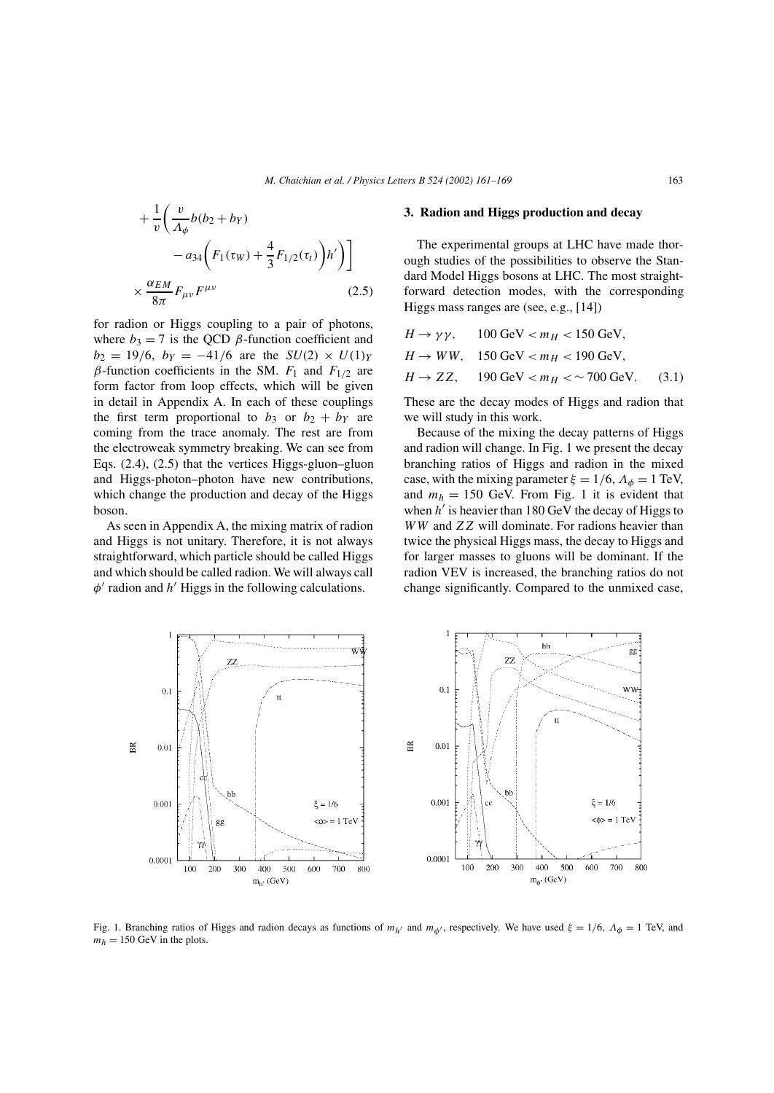$$
+\frac{1}{v}\left(\frac{v}{\Lambda_{\phi}}b(b_2+b_Y) -a_{34}\left(F_1(\tau_W) + \frac{4}{3}F_{1/2}(\tau_t)\right)h'\right)\right]
$$

$$
\times \frac{\alpha_{EM}}{8\pi}F_{\mu\nu}F^{\mu\nu}
$$
(2.5)

for radion or Higgs coupling to a pair of photons, where  $b_3 = 7$  is the QCD  $\beta$ -function coefficient and  $b_2 = 19/6$ ,  $b_Y = -41/6$  are the  $SU(2) \times U(1)_Y$ β-function coefficients in the SM.  $F_1$  and  $F_{1/2}$  are form factor from loop effects, which will be given in detail in Appendix A. In each of these couplings the first term proportional to  $b_3$  or  $b_2 + b_1$  are coming from the trace anomaly. The rest are from the electroweak symmetry breaking. We can see from Eqs. (2.4), (2.5) that the vertices Higgs-gluon–gluon and Higgs-photon–photon have new contributions, which change the production and decay of the Higgs boson.

As seen in Appendix A, the mixing matrix of radion and Higgs is not unitary. Therefore, it is not always straightforward, which particle should be called Higgs and which should be called radion. We will always call  $\phi'$  radion and  $h'$  Higgs in the following calculations.

#### **3. Radion and Higgs production and decay**

The experimental groups at LHC have made thorough studies of the possibilities to observe the Standard Model Higgs bosons at LHC. The most straightforward detection modes, with the corresponding Higgs mass ranges are (see, e.g., [14])

| $H \rightarrow \gamma \gamma$ , 100 GeV < $m_H$ < 150 GeV, |  |
|------------------------------------------------------------|--|
| $H \to WW$ , 150 GeV $< m_H < 190$ GeV.                    |  |
| $H \to ZZ$ , 190 GeV $< m_H < \sim 700$ GeV. (3.1)         |  |

These are the decay modes of Higgs and radion that we will study in this work.

Because of the mixing the decay patterns of Higgs and radion will change. In Fig. 1 we present the decay branching ratios of Higgs and radion in the mixed case, with the mixing parameter  $\xi = 1/6$ ,  $\Lambda_{\phi} = 1$  TeV, and  $m_h = 150$  GeV. From Fig. 1 it is evident that when  $h'$  is heavier than 180 GeV the decay of Higgs to WW and ZZ will dominate. For radions heavier than twice the physical Higgs mass, the decay to Higgs and for larger masses to gluons will be dominant. If the radion VEV is increased, the branching ratios do not change significantly. Compared to the unmixed case,



Fig. 1. Branching ratios of Higgs and radion decays as functions of  $m_{h'}$  and  $m_{\phi'}$ , respectively. We have used  $\xi = 1/6$ ,  $\Lambda_{\phi} = 1$  TeV, and  $m_h = 150$  GeV in the plots.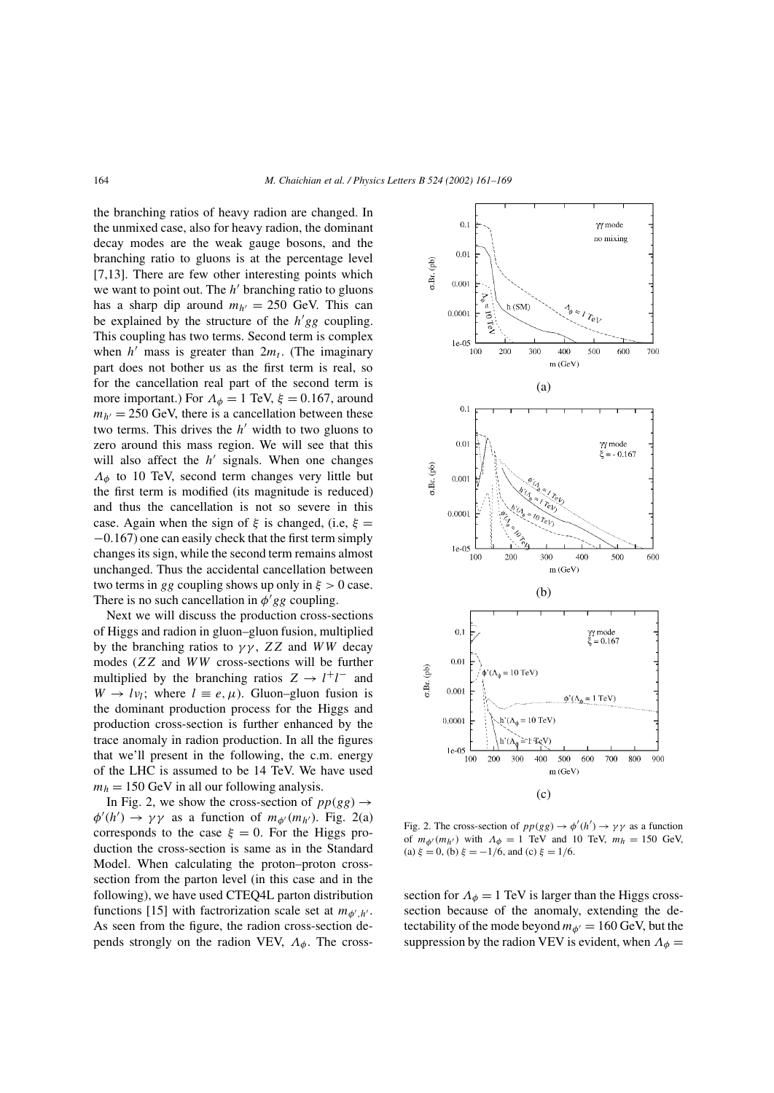the branching ratios of heavy radion are changed. In the unmixed case, also for heavy radion, the dominant decay modes are the weak gauge bosons, and the branching ratio to gluons is at the percentage level [7,13]. There are few other interesting points which we want to point out. The  $h'$  branching ratio to gluons has a sharp dip around  $m_{h'} = 250$  GeV. This can be explained by the structure of the  $h'gg$  coupling. This coupling has two terms. Second term is complex when  $h'$  mass is greater than  $2m_t$ . (The imaginary part does not bother us as the first term is real, so for the cancellation real part of the second term is more important.) For  $\Lambda_{\phi} = 1$  TeV,  $\xi = 0.167$ , around  $m_{h'} = 250 \text{ GeV}$ , there is a cancellation between these two terms. This drives the  $h'$  width to two gluons to zero around this mass region. We will see that this will also affect the  $h'$  signals. When one changes  $\Lambda_{\phi}$  to 10 TeV, second term changes very little but the first term is modified (its magnitude is reduced) and thus the cancellation is not so severe in this case. Again when the sign of  $\xi$  is changed, (i.e,  $\xi$  = −0.167) one can easily check that the first term simply changes its sign, while the second term remains almost unchanged. Thus the accidental cancellation between two terms in gg coupling shows up only in  $\xi > 0$  case. There is no such cancellation in  $\phi' gg$  coupling.

Next we will discuss the production cross-sections of Higgs and radion in gluon–gluon fusion, multiplied by the branching ratios to  $\gamma\gamma$ , ZZ and WW decay modes (ZZ and WW cross-sections will be further multiplied by the branching ratios  $Z \rightarrow l^+l^-$  and  $W \to l\nu_l$ ; where  $l \equiv e, \mu$ ). Gluon–gluon fusion is the dominant production process for the Higgs and production cross-section is further enhanced by the trace anomaly in radion production. In all the figures that we'll present in the following, the c.m. energy of the LHC is assumed to be 14 TeV. We have used  $m_h = 150$  GeV in all our following analysis.

In Fig. 2, we show the cross-section of  $pp(gg) \rightarrow$  $\phi'(h') \to \gamma \gamma$  as a function of  $m_{\phi}(m_{h'})$ . Fig. 2(a) corresponds to the case  $\xi = 0$ . For the Higgs production the cross-section is same as in the Standard Model. When calculating the proton–proton crosssection from the parton level (in this case and in the following), we have used CTEQ4L parton distribution functions [15] with factrorization scale set at  $m_{\phi',h'}$ . As seen from the figure, the radion cross-section depends strongly on the radion VEV,  $\Lambda_{\phi}$ . The cross-



Fig. 2. The cross-section of  $pp(gg) \rightarrow \phi'(h') \rightarrow \gamma \gamma$  as a function of  $m_{\phi}(m_{h'})$  with  $\Lambda_{\phi} = 1$  TeV and 10 TeV,  $m_h = 150$  GeV, (a)  $\xi = 0$ , (b)  $\xi = -1/6$ , and (c)  $\xi = 1/6$ .

section for  $\Lambda_{\phi} = 1$  TeV is larger than the Higgs crosssection because of the anomaly, extending the detectability of the mode beyond  $m_{\phi'} = 160$  GeV, but the suppression by the radion VEV is evident, when  $\Lambda_{\phi}$  =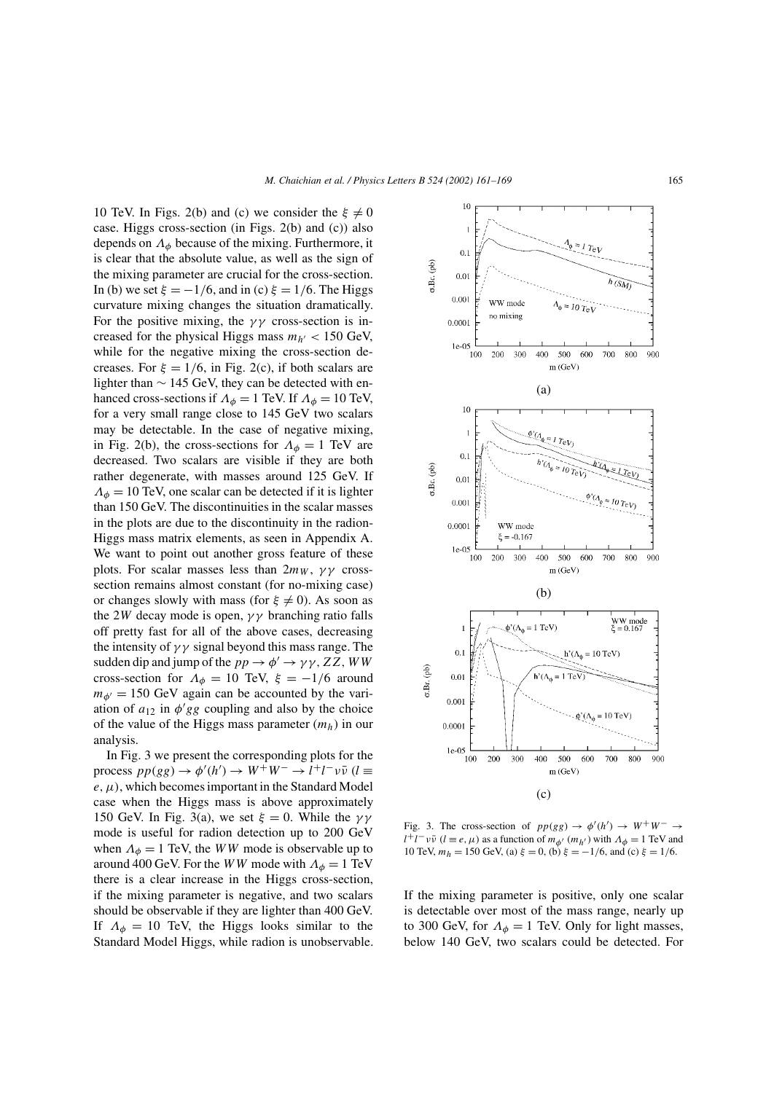10 TeV. In Figs. 2(b) and (c) we consider the  $\xi \neq 0$ case. Higgs cross-section (in Figs. 2(b) and (c)) also depends on  $\Lambda_{\phi}$  because of the mixing. Furthermore, it is clear that the absolute value, as well as the sign of the mixing parameter are crucial for the cross-section. In (b) we set  $\xi = -1/6$ , and in (c)  $\xi = 1/6$ . The Higgs curvature mixing changes the situation dramatically. For the positive mixing, the  $\gamma\gamma$  cross-section is increased for the physical Higgs mass  $m_{h'} < 150$  GeV, while for the negative mixing the cross-section decreases. For  $\xi = 1/6$ , in Fig. 2(c), if both scalars are lighter than  $\sim$  145 GeV, they can be detected with enhanced cross-sections if  $\Lambda_{\phi} = 1$  TeV. If  $\Lambda_{\phi} = 10$  TeV, for a very small range close to 145 GeV two scalars may be detectable. In the case of negative mixing, in Fig. 2(b), the cross-sections for  $\Lambda_{\phi} = 1$  TeV are decreased. Two scalars are visible if they are both rather degenerate, with masses around 125 GeV. If  $\Lambda_{\phi} = 10$  TeV, one scalar can be detected if it is lighter than 150 GeV. The discontinuities in the scalar masses in the plots are due to the discontinuity in the radion-Higgs mass matrix elements, as seen in Appendix A. We want to point out another gross feature of these plots. For scalar masses less than  $2m_W$ ,  $\gamma\gamma$  crosssection remains almost constant (for no-mixing case) or changes slowly with mass (for  $\xi \neq 0$ ). As soon as the 2W decay mode is open,  $\gamma\gamma$  branching ratio falls off pretty fast for all of the above cases, decreasing the intensity of  $\gamma\gamma$  signal beyond this mass range. The sudden dip and jump of the  $pp \to \phi' \to \gamma \gamma$ , ZZ, WW cross-section for  $\Lambda_{\phi} = 10$  TeV,  $\xi = -1/6$  around  $m_{\phi'} = 150$  GeV again can be accounted by the variation of  $a_{12}$  in  $\phi' gg$  coupling and also by the choice of the value of the Higgs mass parameter  $(m_h)$  in our analysis.

In Fig. 3 we present the corresponding plots for the process  $pp(gg) \rightarrow \phi'(h') \rightarrow W^+W^- \rightarrow l^+l^-\nu\bar{\nu}$  ( $l \equiv$  $e, \mu$ ), which becomes important in the Standard Model case when the Higgs mass is above approximately 150 GeV. In Fig. 3(a), we set  $\xi = 0$ . While the γγ mode is useful for radion detection up to 200 GeV when  $\Lambda_{\phi} = 1$  TeV, the WW mode is observable up to around 400 GeV. For the WW mode with  $\Lambda_{\phi} = 1$  TeV there is a clear increase in the Higgs cross-section, if the mixing parameter is negative, and two scalars should be observable if they are lighter than 400 GeV. If  $\Lambda_{\phi} = 10$  TeV, the Higgs looks similar to the Standard Model Higgs, while radion is unobservable.



Fig. 3. The cross-section of  $pp(gg) \rightarrow \phi'(h') \rightarrow W^+W^- \rightarrow$  $l^+l^- \nu \bar{\nu}$  ( $l \equiv e, \mu$ ) as a function of  $m_{\phi'}$  ( $m_{h'}$ ) with  $\Lambda_{\phi} = 1$  TeV and 10 TeV,  $m_h = 150$  GeV, (a)  $\xi = 0$ , (b)  $\xi = -1/6$ , and (c)  $\xi = 1/6$ .

If the mixing parameter is positive, only one scalar is detectable over most of the mass range, nearly up to 300 GeV, for  $\Lambda_{\phi} = 1$  TeV. Only for light masses, below 140 GeV, two scalars could be detected. For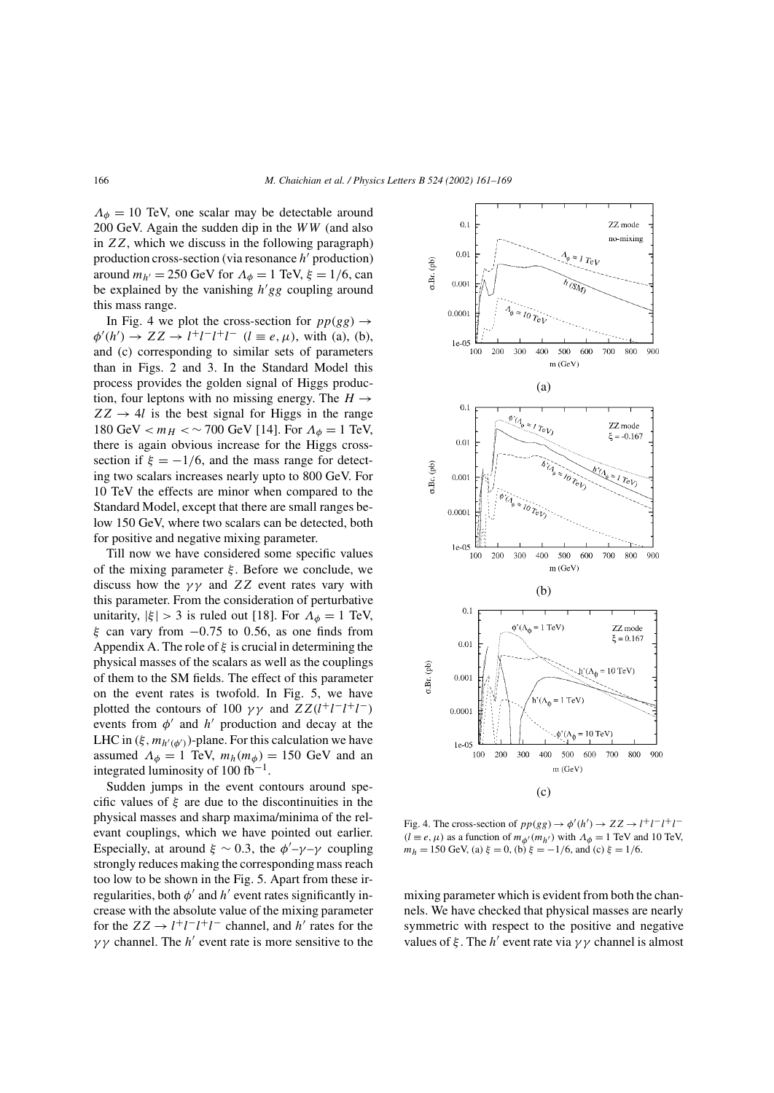$\Lambda_{\phi} = 10$  TeV, one scalar may be detectable around 200 GeV. Again the sudden dip in the WW (and also in ZZ, which we discuss in the following paragraph) production cross-section (via resonance  $h'$  production) around  $m_{h'} = 250$  GeV for  $\Lambda_{\phi} = 1$  TeV,  $\xi = 1/6$ , can be explained by the vanishing  $h'gg$  coupling around this mass range.

In Fig. 4 we plot the cross-section for  $pp(gg) \rightarrow$  $\phi'(h') \to ZZ \to l^+l^-l^+l^ (l \equiv e, \mu)$ , with (a), (b), and (c) corresponding to similar sets of parameters than in Figs. 2 and 3. In the Standard Model this process provides the golden signal of Higgs production, four leptons with no missing energy. The  $H \rightarrow$  $ZZ \rightarrow 4l$  is the best signal for Higgs in the range 180 GeV  $< m_H < \sim 700$  GeV [14]. For  $\Lambda_{\phi} = 1$  TeV, there is again obvious increase for the Higgs crosssection if  $\xi = -1/6$ , and the mass range for detecting two scalars increases nearly upto to 800 GeV. For 10 TeV the effects are minor when compared to the Standard Model, except that there are small ranges below 150 GeV, where two scalars can be detected, both for positive and negative mixing parameter.

Till now we have considered some specific values of the mixing parameter  $\xi$ . Before we conclude, we discuss how the  $\gamma\gamma$  and ZZ event rates vary with this parameter. From the consideration of perturbative unitarity,  $|\xi| > 3$  is ruled out [18]. For  $\Lambda_{\phi} = 1$  TeV,  $\xi$  can vary from  $-0.75$  to 0.56, as one finds from Appendix A. The role of  $\xi$  is crucial in determining the physical masses of the scalars as well as the couplings of them to the SM fields. The effect of this parameter on the event rates is twofold. In Fig. 5, we have plotted the contours of 100  $\gamma\gamma$  and  $ZZ(l^+l^-l^+l^-)$ events from  $\phi'$  and h' production and decay at the LHC in  $(\xi, m_{h'(\phi')})$ -plane. For this calculation we have assumed  $\Lambda_{\phi} = 1$  TeV,  $m_h(m_{\phi}) = 150$  GeV and an integrated luminosity of 100 fb<sup>-1</sup>.

Sudden jumps in the event contours around specific values of  $\xi$  are due to the discontinuities in the physical masses and sharp maxima/minima of the relevant couplings, which we have pointed out earlier. Especially, at around  $\xi \sim 0.3$ , the  $\phi'$ - $\gamma$ - $\gamma$  coupling strongly reduces making the corresponding mass reach too low to be shown in the Fig. 5. Apart from these irregularities, both  $\phi'$  and  $h'$  event rates significantly increase with the absolute value of the mixing parameter for the  $ZZ \rightarrow l^+l^-l^+l^-$  channel, and h' rates for the  $\gamma\gamma$  channel. The h' event rate is more sensitive to the



Fig. 4. The cross-section of  $pp(gg) \rightarrow \phi'(h') \rightarrow ZZ \rightarrow l^{+}l^{-}l^{+}l^{-}$  $(l \equiv e, \mu)$  as a function of  $m_{\phi'}(m_{h'})$  with  $\Lambda_{\phi} = 1$  TeV and 10 TeV,  $m_h = 150$  GeV, (a)  $\xi = 0$ , (b)  $\xi = -1/6$ , and (c)  $\xi = 1/6$ .

mixing parameter which is evident from both the channels. We have checked that physical masses are nearly symmetric with respect to the positive and negative values of  $\xi$ . The  $h'$  event rate via  $\gamma\gamma$  channel is almost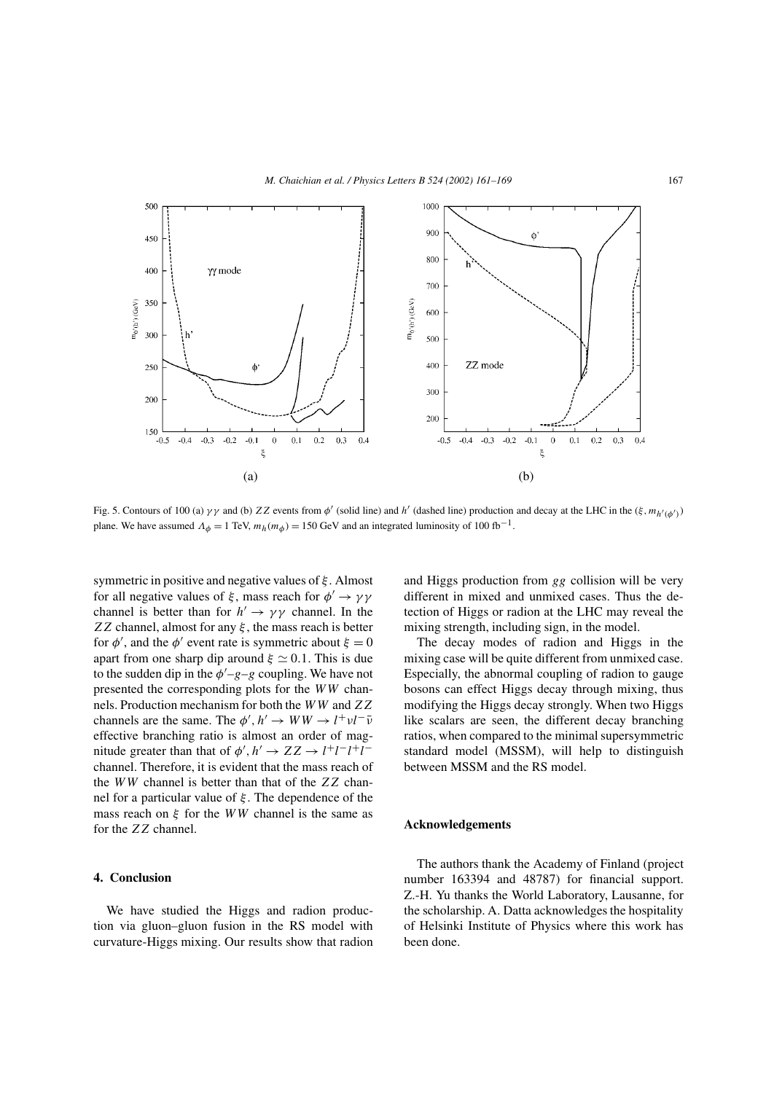

Fig. 5. Contours of 100 (a)  $\gamma\gamma$  and (b) ZZ events from  $\phi'$  (solid line) and h' (dashed line) production and decay at the LHC in the  $(\xi, m_{h'(\phi')})$ plane. We have assumed  $\Lambda_{\phi} = 1$  TeV,  $m_h(m_{\phi}) = 150$  GeV and an integrated luminosity of 100 fb<sup>-1</sup>.

symmetric in positive and negative values of  $\xi$ . Almost for all negative values of  $\xi$ , mass reach for  $\phi' \to \gamma \gamma$ channel is better than for  $h' \to \gamma \gamma$  channel. In the ZZ channel, almost for any  $\xi$ , the mass reach is better for  $\phi'$ , and the  $\phi'$  event rate is symmetric about  $\xi = 0$ apart from one sharp dip around  $\xi \simeq 0.1$ . This is due to the sudden dip in the  $\phi' - g - g$  coupling. We have not presented the corresponding plots for the WW channels. Production mechanism for both the WW and ZZ channels are the same. The  $\phi', h' \to WW \to l^+ \nu l^- \bar{\nu}$ effective branching ratio is almost an order of magnitude greater than that of  $\phi', h' \to ZZ \to l^+l^-l^+l^$ channel. Therefore, it is evident that the mass reach of the WW channel is better than that of the ZZ channel for a particular value of ξ . The dependence of the mass reach on  $\xi$  for the WW channel is the same as for the ZZ channel.

## **4. Conclusion**

We have studied the Higgs and radion production via gluon–gluon fusion in the RS model with curvature-Higgs mixing. Our results show that radion and Higgs production from gg collision will be very different in mixed and unmixed cases. Thus the detection of Higgs or radion at the LHC may reveal the mixing strength, including sign, in the model.

The decay modes of radion and Higgs in the mixing case will be quite different from unmixed case. Especially, the abnormal coupling of radion to gauge bosons can effect Higgs decay through mixing, thus modifying the Higgs decay strongly. When two Higgs like scalars are seen, the different decay branching ratios, when compared to the minimal supersymmetric standard model (MSSM), will help to distinguish between MSSM and the RS model.

## **Acknowledgements**

The authors thank the Academy of Finland (project number 163394 and 48787) for financial support. Z.-H. Yu thanks the World Laboratory, Lausanne, for the scholarship. A. Datta acknowledges the hospitality of Helsinki Institute of Physics where this work has been done.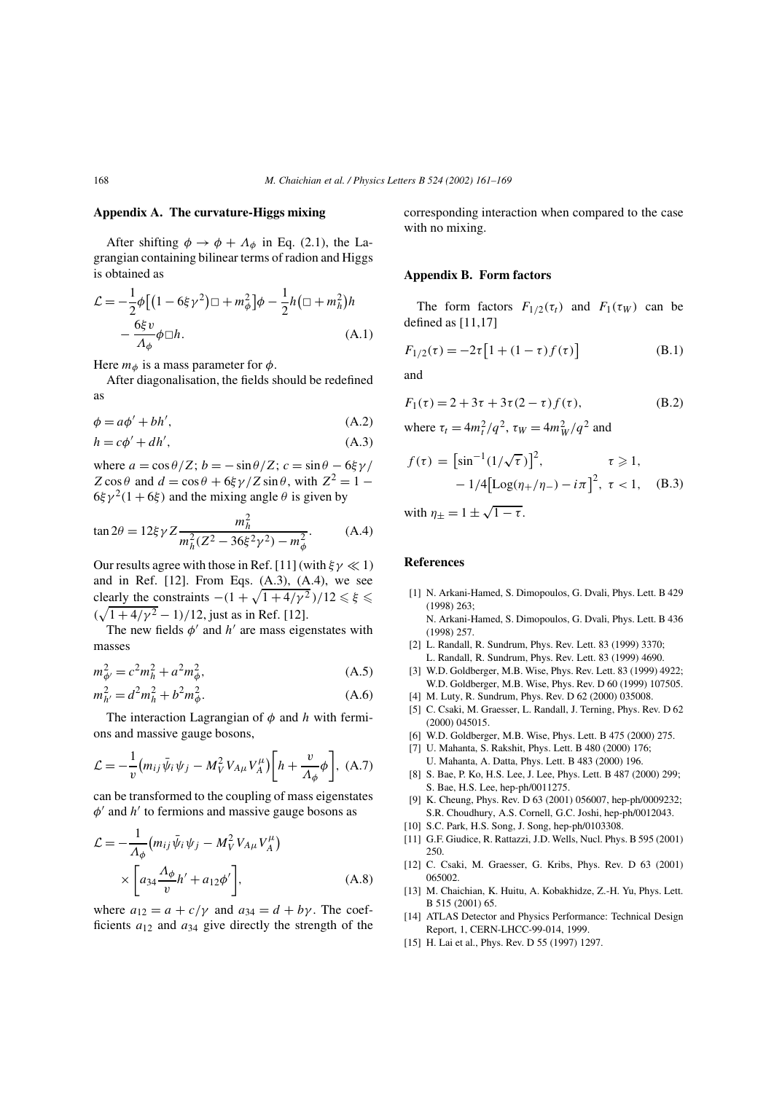## **Appendix A. The curvature-Higgs mixing**

After shifting  $\phi \rightarrow \phi + A_{\phi}$  in Eq. (2.1), the Lagrangian containing bilinear terms of radion and Higgs is obtained as

$$
\mathcal{L} = -\frac{1}{2}\phi \left[ \left( 1 - 6\xi \gamma^2 \right) \Box + m_\phi^2 \right] \phi - \frac{1}{2}h \left( \Box + m_h^2 \right) h \n- \frac{6\xi v}{\Lambda_\phi} \phi \Box h.
$$
\n(A.1)

Here  $m_{\phi}$  is a mass parameter for  $\phi$ .

After diagonalisation, the fields should be redefined as

$$
\phi = a\phi' + bh',\tag{A.2}
$$

$$
h = c\phi' + dh',\tag{A.3}
$$

where  $a = \cos \theta / Z$ ;  $b = -\sin \theta / Z$ ;  $c = \sin \theta - 6 \xi \gamma /$  $Z\cos\theta$  and  $d = \cos\theta + 6\xi\gamma/Z\sin\theta$ , with  $Z^2 = 1 6\xi \gamma^2 (1+6\xi)$  and the mixing angle  $\theta$  is given by

$$
\tan 2\theta = 12\xi \gamma Z \frac{m_h^2}{m_h^2 (Z^2 - 36\xi^2 \gamma^2) - m_\phi^2}.
$$
 (A.4)

Our results agree with those in Ref. [11] (with  $\xi \gamma \ll 1$ ) and in Ref. [12]. From Eqs. (A.3), (A.4), we see clearly the constraints  $-(1 + \sqrt{1 + 4/\gamma^2})/12 \leq \xi \leq$  $(\sqrt{1+4/\gamma^2}-1)/12$ , just as in Ref. [12].

The new fields  $\phi'$  and  $h'$  are mass eigenstates with masses

$$
m_{\phi'}^2 = c^2 m_h^2 + a^2 m_{\phi}^2,
$$
\n(A.5)

$$
m_{h'}^2 = d^2 m_h^2 + b^2 m_\phi^2.
$$
 (A.6)

The interaction Lagrangian of  $\phi$  and h with fermions and massive gauge bosons,

$$
\mathcal{L} = -\frac{1}{v} \left( m_{ij} \bar{\psi}_i \psi_j - M_V^2 V_{A\mu} V_A^{\mu} \right) \left[ h + \frac{v}{\Lambda_{\phi}} \phi \right], \text{ (A.7)}
$$

can be transformed to the coupling of mass eigenstates  $\phi'$  and  $h'$  to fermions and massive gauge bosons as

$$
\mathcal{L} = -\frac{1}{\Lambda_{\phi}} \left( m_{ij} \bar{\psi}_i \psi_j - M_V^2 V_{A\mu} V_A^{\mu} \right) \times \left[ a_{34} \frac{\Lambda_{\phi}}{v} h' + a_{12} \phi' \right],
$$
\n(A.8)

where  $a_{12} = a + c/\gamma$  and  $a_{34} = d + b\gamma$ . The coefficients  $a_{12}$  and  $a_{34}$  give directly the strength of the corresponding interaction when compared to the case with no mixing.

#### **Appendix B. Form factors**

The form factors  $F_{1/2}(\tau_t)$  and  $F_1(\tau_W)$  can be defined as [11,17]

$$
F_{1/2}(\tau) = -2\tau [1 + (1 - \tau) f(\tau)]
$$
 (B.1)

and

$$
F_1(\tau) = 2 + 3\tau + 3\tau (2 - \tau) f(\tau),
$$
 (B.2)

where  $\tau_t = 4m_t^2/q^2$ ,  $\tau_W = 4m_W^2/q^2$  and

$$
f(\tau) = \left[\sin^{-1}(1/\sqrt{\tau})\right]^2, \qquad \tau \ge 1, -1/4\left[\text{Log}(\eta_+/\eta_-) - i\pi\right]^2, \ \tau < 1, \quad (B.3)
$$

with  $\eta_{\pm} = 1 \pm \sqrt{1 - \tau}$ .

#### **References**

[1] N. Arkani-Hamed, S. Dimopoulos, G. Dvali, Phys. Lett. B 429 (1998) 263;

N. Arkani-Hamed, S. Dimopoulos, G. Dvali, Phys. Lett. B 436 (1998) 257.

- [2] L. Randall, R. Sundrum, Phys. Rev. Lett. 83 (1999) 3370; L. Randall, R. Sundrum, Phys. Rev. Lett. 83 (1999) 4690.
- [3] W.D. Goldberger, M.B. Wise, Phys. Rev. Lett. 83 (1999) 4922; W.D. Goldberger, M.B. Wise, Phys. Rev. D 60 (1999) 107505.
- [4] M. Luty, R. Sundrum, Phys. Rev. D 62 (2000) 035008.
- [5] C. Csaki, M. Graesser, L. Randall, J. Terning, Phys. Rev. D 62 (2000) 045015.
- [6] W.D. Goldberger, M.B. Wise, Phys. Lett. B 475 (2000) 275.
- [7] U. Mahanta, S. Rakshit, Phys. Lett. B 480 (2000) 176; U. Mahanta, A. Datta, Phys. Lett. B 483 (2000) 196.
- [8] S. Bae, P. Ko, H.S. Lee, J. Lee, Phys. Lett. B 487 (2000) 299; S. Bae, H.S. Lee, hep-ph/0011275.
- [9] K. Cheung, Phys. Rev. D 63 (2001) 056007, hep-ph/0009232; S.R. Choudhury, A.S. Cornell, G.C. Joshi, hep-ph/0012043.
- [10] S.C. Park, H.S. Song, J. Song, hep-ph/0103308.
- [11] G.F. Giudice, R. Rattazzi, J.D. Wells, Nucl. Phys. B 595 (2001) 250.
- [12] C. Csaki, M. Graesser, G. Kribs, Phys. Rev. D 63 (2001) 065002.
- [13] M. Chaichian, K. Huitu, A. Kobakhidze, Z.-H. Yu, Phys. Lett. B 515 (2001) 65.
- [14] ATLAS Detector and Physics Performance: Technical Design Report, 1, CERN-LHCC-99-014, 1999.
- [15] H. Lai et al., Phys. Rev. D 55 (1997) 1297.